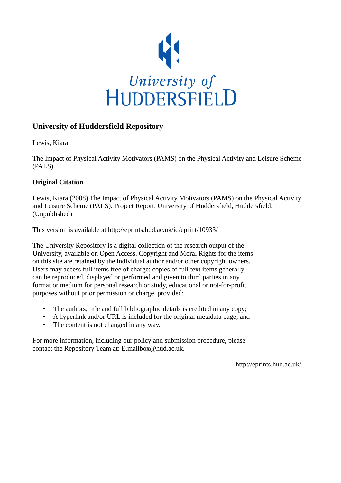

# **University of Huddersfield Repository**

Lewis, Kiara

The Impact of Physical Activity Motivators (PAMS) on the Physical Activity and Leisure Scheme (PALS)

## **Original Citation**

Lewis, Kiara (2008) The Impact of Physical Activity Motivators (PAMS) on the Physical Activity and Leisure Scheme (PALS). Project Report. University of Huddersfield, Huddersfield. (Unpublished)

This version is available at http://eprints.hud.ac.uk/id/eprint/10933/

The University Repository is a digital collection of the research output of the University, available on Open Access. Copyright and Moral Rights for the items on this site are retained by the individual author and/or other copyright owners. Users may access full items free of charge; copies of full text items generally can be reproduced, displayed or performed and given to third parties in any format or medium for personal research or study, educational or not-for-profit purposes without prior permission or charge, provided:

- The authors, title and full bibliographic details is credited in any copy;
- A hyperlink and/or URL is included for the original metadata page; and
- The content is not changed in any way.

For more information, including our policy and submission procedure, please contact the Repository Team at: E.mailbox@hud.ac.uk.

http://eprints.hud.ac.uk/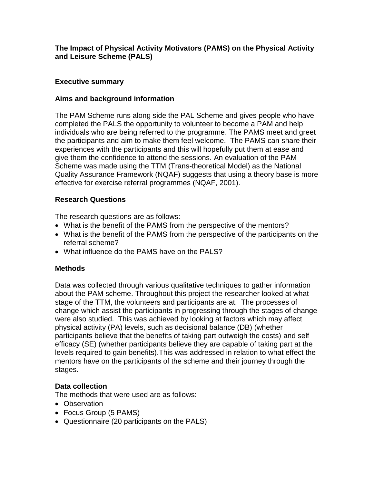### **The Impact of Physical Activity Motivators (PAMS) on the Physical Activity and Leisure Scheme (PALS)**

### **Executive summary**

### **Aims and background information**

The PAM Scheme runs along side the PAL Scheme and gives people who have completed the PALS the opportunity to volunteer to become a PAM and help individuals who are being referred to the programme. The PAMS meet and greet the participants and aim to make them feel welcome. The PAMS can share their experiences with the participants and this will hopefully put them at ease and give them the confidence to attend the sessions. An evaluation of the PAM Scheme was made using the TTM (Trans-theoretical Model) as the National Quality Assurance Framework (NQAF) suggests that using a theory base is more effective for exercise referral programmes (NQAF, 2001).

### **Research Questions**

The research questions are as follows:

- What is the benefit of the PAMS from the perspective of the mentors?
- What is the benefit of the PAMS from the perspective of the participants on the referral scheme?
- What influence do the PAMS have on the PALS?

#### **Methods**

Data was collected through various qualitative techniques to gather information about the PAM scheme. Throughout this project the researcher looked at what stage of the TTM, the volunteers and participants are at. The processes of change which assist the participants in progressing through the stages of change were also studied. This was achieved by looking at factors which may affect physical activity (PA) levels, such as decisional balance (DB) (whether participants believe that the benefits of taking part outweigh the costs) and self efficacy (SE) (whether participants believe they are capable of taking part at the levels required to gain benefits).This was addressed in relation to what effect the mentors have on the participants of the scheme and their journey through the stages.

## **Data collection**

The methods that were used are as follows:

- Observation
- Focus Group (5 PAMS)
- Questionnaire (20 participants on the PALS)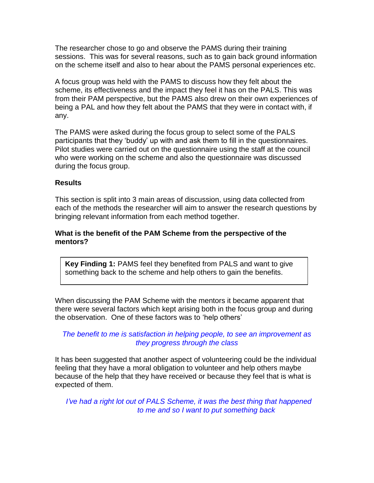The researcher chose to go and observe the PAMS during their training sessions. This was for several reasons, such as to gain back ground information on the scheme itself and also to hear about the PAMS personal experiences etc.

A focus group was held with the PAMS to discuss how they felt about the scheme, its effectiveness and the impact they feel it has on the PALS. This was from their PAM perspective, but the PAMS also drew on their own experiences of being a PAL and how they felt about the PAMS that they were in contact with, if any.

The PAMS were asked during the focus group to select some of the PALS participants that they 'buddy' up with and ask them to fill in the questionnaires. Pilot studies were carried out on the questionnaire using the staff at the council who were working on the scheme and also the questionnaire was discussed during the focus group.

### **Results**

This section is split into 3 main areas of discussion, using data collected from each of the methods the researcher will aim to answer the research questions by bringing relevant information from each method together.

#### **What is the benefit of the PAM Scheme from the perspective of the mentors?**

**Key Finding 1:** PAMS feel they benefited from PALS and want to give something back to the scheme and help others to gain the benefits.

When discussing the PAM Scheme with the mentors it became apparent that there were several factors which kept arising both in the focus group and during the observation. One of these factors was to 'help others'

### *The benefit to me is satisfaction in helping people, to see an improvement as they progress through the class*

It has been suggested that another aspect of volunteering could be the individual feeling that they have a moral obligation to volunteer and help others maybe because of the help that they have received or because they feel that is what is expected of them.

*I've had a right lot out of PALS Scheme, it was the best thing that happened to me and so I want to put something back*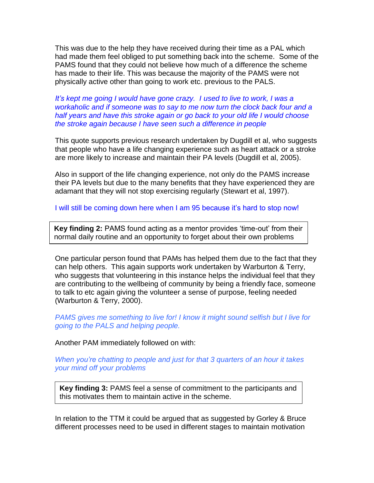This was due to the help they have received during their time as a PAL which had made them feel obliged to put something back into the scheme. Some of the PAMS found that they could not believe how much of a difference the scheme has made to their life. This was because the majority of the PAMS were not physically active other than going to work etc. previous to the PALS.

*It's kept me going I would have gone crazy. I used to live to work, I was a workaholic and if someone was to say to me now turn the clock back four and a half years and have this stroke again or go back to your old life I would choose the stroke again because I have seen such a difference in people*

This quote supports previous research undertaken by Dugdill et al, who suggests that people who have a life changing experience such as heart attack or a stroke are more likely to increase and maintain their PA levels (Dugdill et al, 2005).

Also in support of the life changing experience, not only do the PAMS increase their PA levels but due to the many benefits that they have experienced they are adamant that they will not stop exercising regularly (Stewart et al, 1997).

I will still be coming down here when I am 95 because it's hard to stop now!

**Key finding 2:** PAMS found acting as a mentor provides 'time-out' from their normal daily routine and an opportunity to forget about their own problems

One particular person found that PAMs has helped them due to the fact that they can help others. This again supports work undertaken by Warburton & Terry, who suggests that volunteering in this instance helps the individual feel that they are contributing to the wellbeing of community by being a friendly face, someone to talk to etc again giving the volunteer a sense of purpose, feeling needed (Warburton & Terry, 2000).

*PAMS gives me something to live for! I know it might sound selfish but I live for going to the PALS and helping people.*

Another PAM immediately followed on with:

*When you're chatting to people and just for that 3 quarters of an hour it takes your mind off your problems*

**Key finding 3:** PAMS feel a sense of commitment to the participants and this motivates them to maintain active in the scheme.

In relation to the TTM it could be argued that as suggested by Gorley & Bruce different processes need to be used in different stages to maintain motivation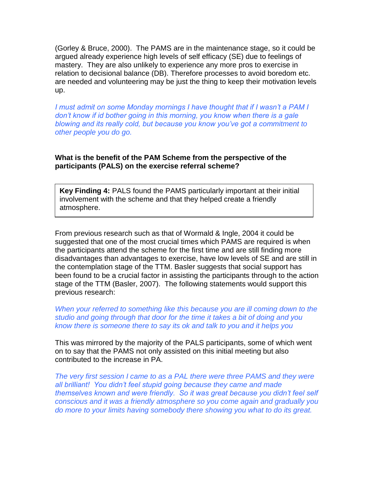(Gorley & Bruce, 2000). The PAMS are in the maintenance stage, so it could be argued already experience high levels of self efficacy (SE) due to feelings of mastery. They are also unlikely to experience any more pros to exercise in relation to decisional balance (DB). Therefore processes to avoid boredom etc. are needed and volunteering may be just the thing to keep their motivation levels up.

*I must admit on some Monday mornings I have thought that if I wasn't a PAM I don't know if id bother going in this morning, you know when there is a gale blowing and its really cold, but because you know you've got a commitment to other people you do go.*

#### **What is the benefit of the PAM Scheme from the perspective of the participants (PALS) on the exercise referral scheme?**

**Key Finding 4:** PALS found the PAMS particularly important at their initial involvement with the scheme and that they helped create a friendly atmosphere.

From previous research such as that of Wormald & Ingle, 2004 it could be suggested that one of the most crucial times which PAMS are required is when the participants attend the scheme for the first time and are still finding more disadvantages than advantages to exercise, have low levels of SE and are still in the contemplation stage of the TTM. Basler suggests that social support has been found to be a crucial factor in assisting the participants through to the action stage of the TTM (Basler, 2007). The following statements would support this previous research:

*When your referred to something like this because you are ill coming down to the studio and going through that door for the time it takes a bit of doing and you know there is someone there to say its ok and talk to you and it helps you*

This was mirrored by the majority of the PALS participants, some of which went on to say that the PAMS not only assisted on this initial meeting but also contributed to the increase in PA.

*The very first session I came to as a PAL there were three PAMS and they were all brilliant! You didn't feel stupid going because they came and made themselves known and were friendly. So it was great because you didn't feel self conscious and it was a friendly atmosphere so you come again and gradually you do more to your limits having somebody there showing you what to do its great.*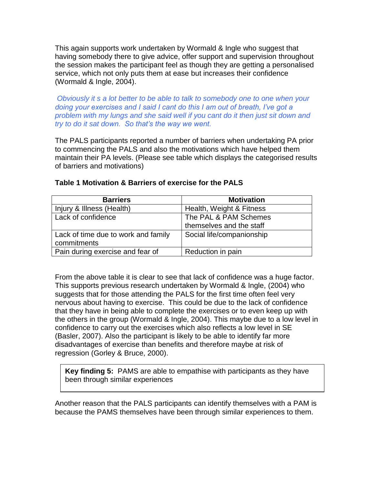This again supports work undertaken by Wormald & Ingle who suggest that having somebody there to give advice, offer support and supervision throughout the session makes the participant feel as though they are getting a personalised service, which not only puts them at ease but increases their confidence (Wormald & Ingle, 2004).

*Obviously it s a lot better to be able to talk to somebody one to one when your doing your exercises and I said I cant do this I am out of breath, I've got a problem with my lungs and she said well if you cant do it then just sit down and try to do it sat down. So that's the way we went.*

The PALS participants reported a number of barriers when undertaking PA prior to commencing the PALS and also the motivations which have helped them maintain their PA levels. (Please see table which displays the categorised results of barriers and motivations)

| <b>Barriers</b>                     | <b>Motivation</b>         |
|-------------------------------------|---------------------------|
| Injury & Illness (Health)           | Health, Weight & Fitness  |
| Lack of confidence                  | The PAL & PAM Schemes     |
|                                     | themselves and the staff  |
| Lack of time due to work and family | Social life/companionship |
| commitments                         |                           |
| Pain during exercise and fear of    | Reduction in pain         |

#### **Table 1 Motivation & Barriers of exercise for the PALS**

From the above table it is clear to see that lack of confidence was a huge factor. This supports previous research undertaken by Wormald & Ingle, (2004) who suggests that for those attending the PALS for the first time often feel very nervous about having to exercise. This could be due to the lack of confidence that they have in being able to complete the exercises or to even keep up with the others in the group (Wormald & Ingle, 2004). This maybe due to a low level in confidence to carry out the exercises which also reflects a low level in SE (Basler, 2007). Also the participant is likely to be able to identify far more disadvantages of exercise than benefits and therefore maybe at risk of regression (Gorley & Bruce, 2000).

**Key finding 5:** PAMS are able to empathise with participants as they have been through similar experiences

Another reason that the PALS participants can identify themselves with a PAM is because the PAMS themselves have been through similar experiences to them.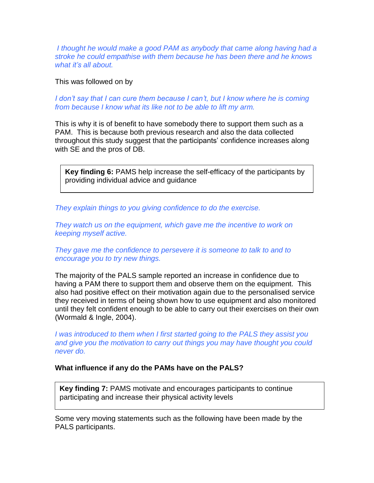*I thought he would make a good PAM as anybody that came along having had a stroke he could empathise with them because he has been there and he knows what it's all about.*

This was followed on by

*I don't say that I can cure them because I can't, but I know where he is coming from because I know what its like not to be able to lift my arm.*

This is why it is of benefit to have somebody there to support them such as a PAM. This is because both previous research and also the data collected throughout this study suggest that the participants' confidence increases along with SE and the pros of DB.

**Key finding 6:** PAMS help increase the self-efficacy of the participants by providing individual advice and guidance

*They explain things to you giving confidence to do the exercise.*

*They watch us on the equipment, which gave me the incentive to work on keeping myself active.*

*They gave me the confidence to persevere it is someone to talk to and to encourage you to try new things.*

The majority of the PALS sample reported an increase in confidence due to having a PAM there to support them and observe them on the equipment. This also had positive effect on their motivation again due to the personalised service they received in terms of being shown how to use equipment and also monitored until they felt confident enough to be able to carry out their exercises on their own (Wormald & Ingle, 2004).

*I was introduced to them when I first started going to the PALS they assist you and give you the motivation to carry out things you may have thought you could never do.*

#### **What influence if any do the PAMs have on the PALS?**

**Key finding 7:** PAMS motivate and encourages participants to continue participating and increase their physical activity levels

Some very moving statements such as the following have been made by the PALS participants.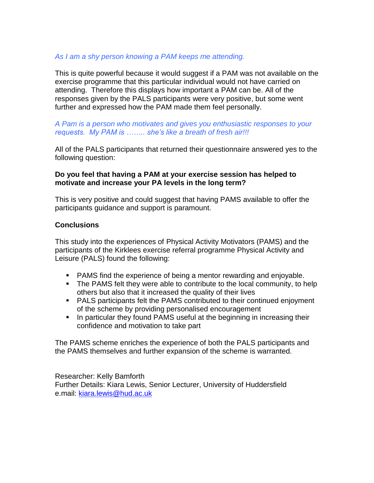### *As I am a shy person knowing a PAM keeps me attending.*

This is quite powerful because it would suggest if a PAM was not available on the exercise programme that this particular individual would not have carried on attending. Therefore this displays how important a PAM can be. All of the responses given by the PALS participants were very positive, but some went further and expressed how the PAM made them feel personally.

#### *A Pam is a person who motivates and gives you enthusiastic responses to your requests. My PAM is …….. she's like a breath of fresh air!!!*

All of the PALS participants that returned their questionnaire answered yes to the following question:

#### **Do you feel that having a PAM at your exercise session has helped to motivate and increase your PA levels in the long term?**

This is very positive and could suggest that having PAMS available to offer the participants guidance and support is paramount.

#### **Conclusions**

This study into the experiences of Physical Activity Motivators (PAMS) and the participants of the Kirklees exercise referral programme Physical Activity and Leisure (PALS) found the following:

- **PAMS find the experience of being a mentor rewarding and enjoyable.**
- The PAMS felt they were able to contribute to the local community, to help others but also that it increased the quality of their lives
- PALS participants felt the PAMS contributed to their continued enjoyment of the scheme by providing personalised encouragement
- In particular they found PAMS useful at the beginning in increasing their confidence and motivation to take part

The PAMS scheme enriches the experience of both the PALS participants and the PAMS themselves and further expansion of the scheme is warranted.

#### Researcher: Kelly Bamforth

Further Details: Kiara Lewis, Senior Lecturer, University of Huddersfield e.mail: [kiara.lewis@hud.ac.uk](mailto:kiara.lewis@hud.ac.uk)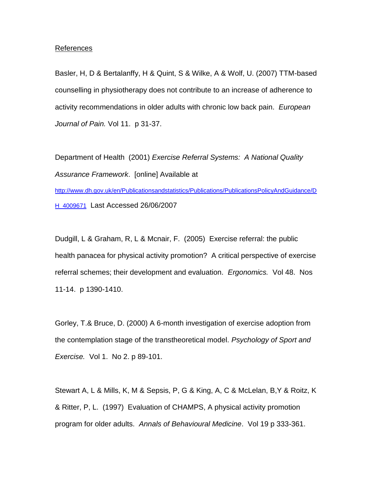#### References

Basler, H, D & Bertalanffy, H & Quint, S & Wilke, A & Wolf, U. (2007) TTM-based counselling in physiotherapy does not contribute to an increase of adherence to activity recommendations in older adults with chronic low back pain. *European Journal of Pain.* Vol 11. p 31-37.

Department of Health (2001) *Exercise Referral Systems: A National Quality Assurance Framework*. [online] Available at [http://www.dh.gov.uk/en/Publicationsandstatistics/Publications/PublicationsPolicyAndGuidance/D](http://www.dh.gov.uk/en/Publicationsandstatistics/Publications/PublicationsPolicyAndGuidance/DH_4009671) [H\\_4009671](http://www.dh.gov.uk/en/Publicationsandstatistics/Publications/PublicationsPolicyAndGuidance/DH_4009671) Last Accessed 26/06/2007

Dudgill, L & Graham, R, L & Mcnair, F. (2005) Exercise referral: the public health panacea for physical activity promotion? A critical perspective of exercise referral schemes; their development and evaluation. *Ergonomics.* Vol 48. Nos 11-14. p 1390-1410.

Gorley, T.& Bruce, D. (2000) A 6-month investigation of exercise adoption from the contemplation stage of the transtheoretical model. *Psychology of Sport and Exercise.* Vol 1. No 2. p 89-101.

Stewart A, L & Mills, K, M & Sepsis, P, G & King, A, C & McLelan, B,Y & Roitz, K & Ritter, P, L. (1997) Evaluation of CHAMPS, A physical activity promotion program for older adults. *Annals of Behavioural Medicine*. Vol 19 p 333-361.